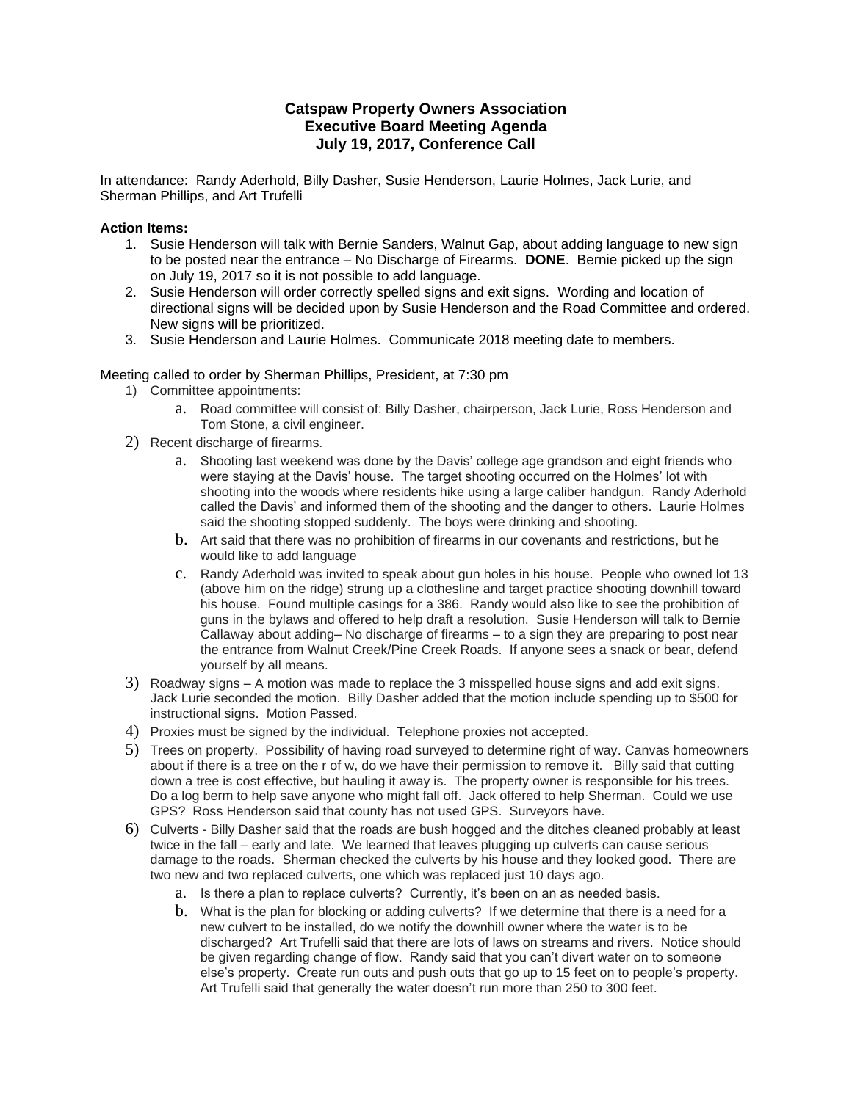## **Catspaw Property Owners Association Executive Board Meeting Agenda July 19, 2017, Conference Call**

In attendance: Randy Aderhold, Billy Dasher, Susie Henderson, Laurie Holmes, Jack Lurie, and Sherman Phillips, and Art Trufelli

## **Action Items:**

- 1. Susie Henderson will talk with Bernie Sanders, Walnut Gap, about adding language to new sign to be posted near the entrance – No Discharge of Firearms. **DONE**. Bernie picked up the sign on July 19, 2017 so it is not possible to add language.
- 2. Susie Henderson will order correctly spelled signs and exit signs. Wording and location of directional signs will be decided upon by Susie Henderson and the Road Committee and ordered. New signs will be prioritized.
- 3. Susie Henderson and Laurie Holmes. Communicate 2018 meeting date to members.

## Meeting called to order by Sherman Phillips, President, at 7:30 pm

- 1) Committee appointments:
	- a. Road committee will consist of: Billy Dasher, chairperson, Jack Lurie, Ross Henderson and Tom Stone, a civil engineer.
- 2) Recent discharge of firearms.
	- a. Shooting last weekend was done by the Davis' college age grandson and eight friends who were staying at the Davis' house. The target shooting occurred on the Holmes' lot with shooting into the woods where residents hike using a large caliber handgun. Randy Aderhold called the Davis' and informed them of the shooting and the danger to others. Laurie Holmes said the shooting stopped suddenly. The boys were drinking and shooting.
	- b. Art said that there was no prohibition of firearms in our covenants and restrictions, but he would like to add language
	- c. Randy Aderhold was invited to speak about gun holes in his house. People who owned lot 13 (above him on the ridge) strung up a clothesline and target practice shooting downhill toward his house. Found multiple casings for a 386. Randy would also like to see the prohibition of guns in the bylaws and offered to help draft a resolution. Susie Henderson will talk to Bernie Callaway about adding– No discharge of firearms – to a sign they are preparing to post near the entrance from Walnut Creek/Pine Creek Roads. If anyone sees a snack or bear, defend yourself by all means.
- 3) Roadway signs A motion was made to replace the 3 misspelled house signs and add exit signs. Jack Lurie seconded the motion. Billy Dasher added that the motion include spending up to \$500 for instructional signs. Motion Passed.
- 4) Proxies must be signed by the individual. Telephone proxies not accepted.
- 5) Trees on property. Possibility of having road surveyed to determine right of way. Canvas homeowners about if there is a tree on the r of w, do we have their permission to remove it. Billy said that cutting down a tree is cost effective, but hauling it away is. The property owner is responsible for his trees. Do a log berm to help save anyone who might fall off. Jack offered to help Sherman. Could we use GPS? Ross Henderson said that county has not used GPS. Surveyors have.
- 6) Culverts Billy Dasher said that the roads are bush hogged and the ditches cleaned probably at least twice in the fall – early and late. We learned that leaves plugging up culverts can cause serious damage to the roads. Sherman checked the culverts by his house and they looked good. There are two new and two replaced culverts, one which was replaced just 10 days ago.
	- a. Is there a plan to replace culverts? Currently, it's been on an as needed basis.
	- b. What is the plan for blocking or adding culverts? If we determine that there is a need for a new culvert to be installed, do we notify the downhill owner where the water is to be discharged? Art Trufelli said that there are lots of laws on streams and rivers. Notice should be given regarding change of flow. Randy said that you can't divert water on to someone else's property. Create run outs and push outs that go up to 15 feet on to people's property. Art Trufelli said that generally the water doesn't run more than 250 to 300 feet.